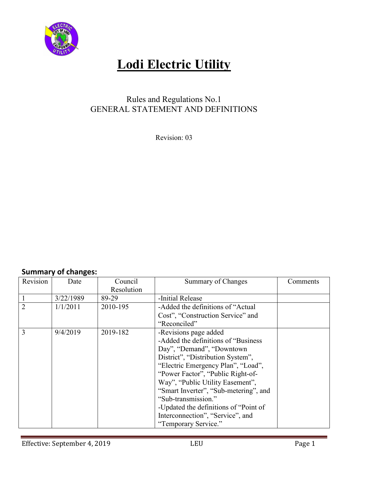

### Rules and Regulations No.1 GENERAL STATEMENT AND DEFINITIONS

Revision: 03

### **Summary of changes:**

| Revision       | Date      | Council    | Summary of Changes                     | Comments |
|----------------|-----------|------------|----------------------------------------|----------|
|                |           | Resolution |                                        |          |
|                | 3/22/1989 | 89-29      | -Initial Release                       |          |
| $\overline{2}$ | 1/1/2011  | 2010-195   | -Added the definitions of "Actual"     |          |
|                |           |            | Cost", "Construction Service" and      |          |
|                |           |            | "Reconciled"                           |          |
| 3              | 9/4/2019  | 2019-182   | -Revisions page added                  |          |
|                |           |            | -Added the definitions of "Business"   |          |
|                |           |            | Day", "Demand", "Downtown              |          |
|                |           |            | District", "Distribution System",      |          |
|                |           |            | "Electric Emergency Plan", "Load",     |          |
|                |           |            | "Power Factor", "Public Right-of-      |          |
|                |           |            | Way", "Public Utility Easement",       |          |
|                |           |            | "Smart Inverter", "Sub-metering", and  |          |
|                |           |            | "Sub-transmission."                    |          |
|                |           |            | -Updated the definitions of "Point of" |          |
|                |           |            | Interconnection", "Service", and       |          |
|                |           |            | "Temporary Service."                   |          |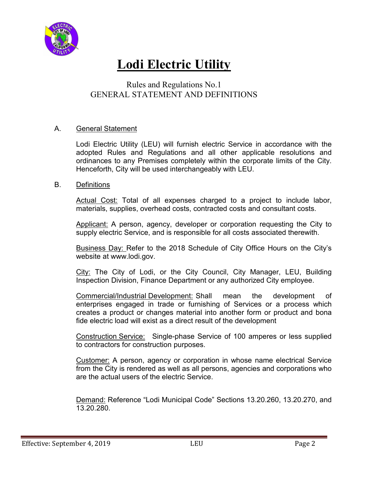

### Rules and Regulations No.1 GENERAL STATEMENT AND DEFINITIONS

#### A. General Statement

Lodi Electric Utility (LEU) will furnish electric Service in accordance with the adopted Rules and Regulations and all other applicable resolutions and ordinances to any Premises completely within the corporate limits of the City. Henceforth, City will be used interchangeably with LEU.

#### B. Definitions

Actual Cost: Total of all expenses charged to a project to include labor, materials, supplies, overhead costs, contracted costs and consultant costs.

Applicant: A person, agency, developer or corporation requesting the City to supply electric Service, and is responsible for all costs associated therewith.

Business Day: Refer to the 2018 Schedule of City Office Hours on the City's website at www.lodi.gov.

City: The City of Lodi, or the City Council, City Manager, LEU, Building Inspection Division, Finance Department or any authorized City employee.

Commercial/Industrial Development: Shall mean the development of enterprises engaged in trade or furnishing of Services or a process which creates a product or changes material into another form or product and bona fide electric load will exist as a direct result of the development

Construction Service: Single-phase Service of 100 amperes or less supplied to contractors for construction purposes.

Customer: A person, agency or corporation in whose name electrical Service from the City is rendered as well as all persons, agencies and corporations who are the actual users of the electric Service.

Demand: Reference "Lodi Municipal Code" Sections 13.20.260, 13.20.270, and 13.20.280.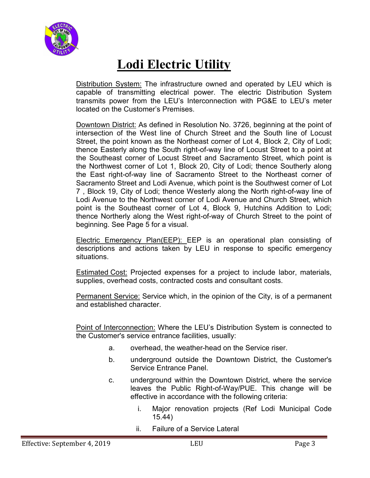

Distribution System: The infrastructure owned and operated by LEU which is capable of transmitting electrical power. The electric Distribution System transmits power from the LEU's Interconnection with PG&E to LEU's meter located on the Customer's Premises.

Downtown District: As defined in Resolution No. 3726, beginning at the point of intersection of the West line of Church Street and the South line of Locust Street, the point known as the Northeast corner of Lot 4, Block 2, City of Lodi; thence Easterly along the South right-of-way line of Locust Street to a point at the Southeast corner of Locust Street and Sacramento Street, which point is the Northwest corner of Lot 1, Block 20, City of Lodi; thence Southerly along the East right-of-way line of Sacramento Street to the Northeast corner of Sacramento Street and Lodi Avenue, which point is the Southwest corner of Lot 7 , Block 19, City of Lodi; thence Westerly along the North right-of-way line of Lodi Avenue to the Northwest corner of Lodi Avenue and Church Street, which point is the Southeast corner of Lot 4, Block 9, Hutchins Addition to Lodi; thence Northerly along the West right-of-way of Church Street to the point of beginning. See Page 5 for a visual.

Electric Emergency Plan(EEP): EEP is an operational plan consisting of descriptions and actions taken by LEU in response to specific emergency situations.

Estimated Cost: Projected expenses for a project to include labor, materials, supplies, overhead costs, contracted costs and consultant costs.

Permanent Service: Service which, in the opinion of the City, is of a permanent and established character.

Point of Interconnection: Where the LEU's Distribution System is connected to the Customer's service entrance facilities, usually:

- a. overhead, the weather-head on the Service riser.
- b. underground outside the Downtown District, the Customer's Service Entrance Panel.
- c. underground within the Downtown District, where the service leaves the Public Right-of-Way/PUE. This change will be effective in accordance with the following criteria:
	- i. Major renovation projects (Ref Lodi Municipal Code 15.44)
	- ii. Failure of a Service Lateral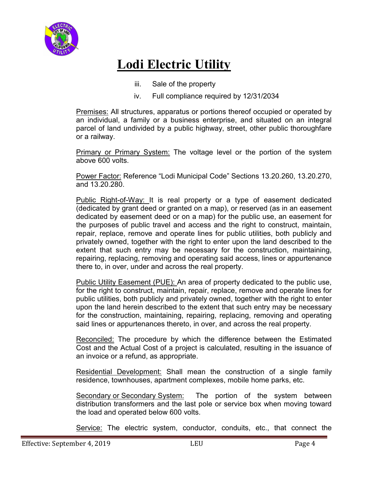

- iii. Sale of the property
- iv. Full compliance required by 12/31/2034

Premises: All structures, apparatus or portions thereof occupied or operated by an individual, a family or a business enterprise, and situated on an integral parcel of land undivided by a public highway, street, other public thoroughfare or a railway.

**Primary or Primary System:** The voltage level or the portion of the system above 600 volts.

Power Factor: Reference "Lodi Municipal Code" Sections 13.20.260, 13.20.270, and 13.20.280.

Public Right-of-Way: It is real property or a type of easement dedicated (dedicated by grant deed or granted on a map), or reserved (as in an easement dedicated by easement deed or on a map) for the public use, an easement for the purposes of public travel and access and the right to construct, maintain, repair, replace, remove and operate lines for public utilities, both publicly and privately owned, together with the right to enter upon the land described to the extent that such entry may be necessary for the construction, maintaining, repairing, replacing, removing and operating said access, lines or appurtenance there to, in over, under and across the real property.

Public Utility Easement (PUE): An area of property dedicated to the public use, for the right to construct, maintain, repair, replace, remove and operate lines for public utilities, both publicly and privately owned, together with the right to enter upon the land herein described to the extent that such entry may be necessary for the construction, maintaining, repairing, replacing, removing and operating said lines or appurtenances thereto, in over, and across the real property.

Reconciled: The procedure by which the difference between the Estimated Cost and the Actual Cost of a project is calculated, resulting in the issuance of an invoice or a refund, as appropriate.

Residential Development: Shall mean the construction of a single family residence, townhouses, apartment complexes, mobile home parks, etc.

Secondary or Secondary System: The portion of the system between distribution transformers and the last pole or service box when moving toward the load and operated below 600 volts.

Service: The electric system, conductor, conduits, etc., that connect the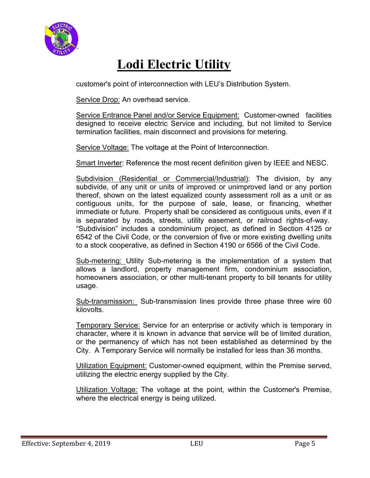

customer's point of interconnection with LEU's Distribution System.

Service Drop: An overhead service.

Service Entrance Panel and/or Service Equipment: Customer-owned facilities designed to receive electric Service and including, but not limited to Service termination facilities, main disconnect and provisions for metering.

Service Voltage: The voltage at the Point of Interconnection.

Smart Inverter: Reference the most recent definition given by IEEE and NESC.

Subdivision (Residential or Commercial/Industrial): The division, by any subdivide, of any unit or units of improved or unimproved land or any portion thereof, shown on the latest equalized county assessment roll as a unit or as contiguous units, for the purpose of sale, lease, or financing, whether immediate or future. Property shall be considered as contiguous units, even if it is separated by roads, streets, utility easement, or railroad rights-of-way. "Subdivision" includes a condominium project, as defined in Section 4125 or 6542 of the Civil Code, or the conversion of five or more existing dwelling units to a stock cooperative, as defined in Section 4190 or 6566 of the Civil Code.

Sub-metering: Utility Sub-metering is the implementation of a system that allows a landlord, property management firm, condominium association, homeowners association, or other multi-tenant property to bill tenants for utility usage.

Sub-transmission: Sub-transmission lines provide three phase three wire 60 kilovolts.

Temporary Service: Service for an enterprise or activity which is temporary in character, where it is known in advance that service will be of limited duration, or the permanency of which has not been established as determined by the City. A Temporary Service will normally be installed for less than 36 months.

Utilization Equipment: Customer-owned equipment, within the Premise served, utilizing the electric energy supplied by the City.

Utilization Voltage: The voltage at the point, within the Customer's Premise, where the electrical energy is being utilized.